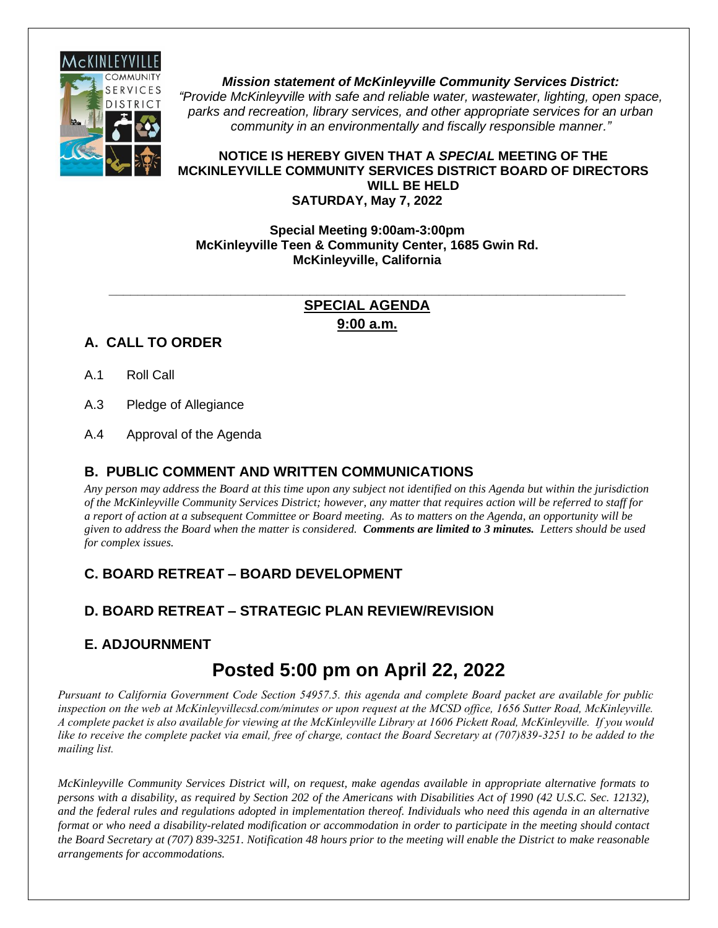

*Mission statement of McKinleyville Community Services District: "Provide McKinleyville with safe and reliable water, wastewater, lighting, open space, parks and recreation, library services, and other appropriate services for an urban community in an environmentally and fiscally responsible manner."*

#### **NOTICE IS HEREBY GIVEN THAT A** *SPECIAL* **MEETING OF THE MCKINLEYVILLE COMMUNITY SERVICES DISTRICT BOARD OF DIRECTORS WILL BE HELD SATURDAY, May 7, 2022**

#### **Special Meeting 9:00am-3:00pm McKinleyville Teen & Community Center, 1685 Gwin Rd. McKinleyville, California**

#### **\_\_\_\_\_\_\_\_\_\_\_\_\_\_\_\_\_\_\_\_\_\_\_\_\_\_\_\_\_\_\_\_\_\_\_\_\_\_\_\_\_\_\_\_\_\_\_\_\_\_\_\_\_\_\_\_\_\_\_\_\_\_\_\_\_\_\_\_\_\_\_\_ SPECIAL AGENDA 9:00 a.m.**

#### **A. CALL TO ORDER**

- A.1 Roll Call
- A.3 Pledge of Allegiance
- A.4 Approval of the Agenda

#### **B. PUBLIC COMMENT AND WRITTEN COMMUNICATIONS**

*Any person may address the Board at this time upon any subject not identified on this Agenda but within the jurisdiction of the McKinleyville Community Services District; however, any matter that requires action will be referred to staff for a report of action at a subsequent Committee or Board meeting. As to matters on the Agenda, an opportunity will be given to address the Board when the matter is considered. Comments are limited to 3 minutes. Letters should be used for complex issues.*

#### **C. BOARD RETREAT – BOARD DEVELOPMENT**

#### **D. BOARD RETREAT – STRATEGIC PLAN REVIEW/REVISION**

#### **E. ADJOURNMENT**

### **Posted 5:00 pm on April 22, 2022**

*Pursuant to California Government Code Section 54957.5. this agenda and complete Board packet are available for public inspection on the web at McKinleyvillecsd.com/minutes or upon request at the MCSD office, 1656 Sutter Road, McKinleyville. A complete packet is also available for viewing at the McKinleyville Library at 1606 Pickett Road, McKinleyville. If you would*  like to receive the complete packet via email, free of charge, contact the Board Secretary at (707)839-3251 to be added to the *mailing list.* 

*McKinleyville Community Services District will, on request, make agendas available in appropriate alternative formats to persons with a disability, as required by Section 202 of the Americans with Disabilities Act of 1990 (42 U.S.C. Sec. 12132), and the federal rules and regulations adopted in implementation thereof. Individuals who need this agenda in an alternative format or who need a disability-related modification or accommodation in order to participate in the meeting should contact the Board Secretary at (707) 839-3251. Notification 48 hours prior to the meeting will enable the District to make reasonable arrangements for accommodations.*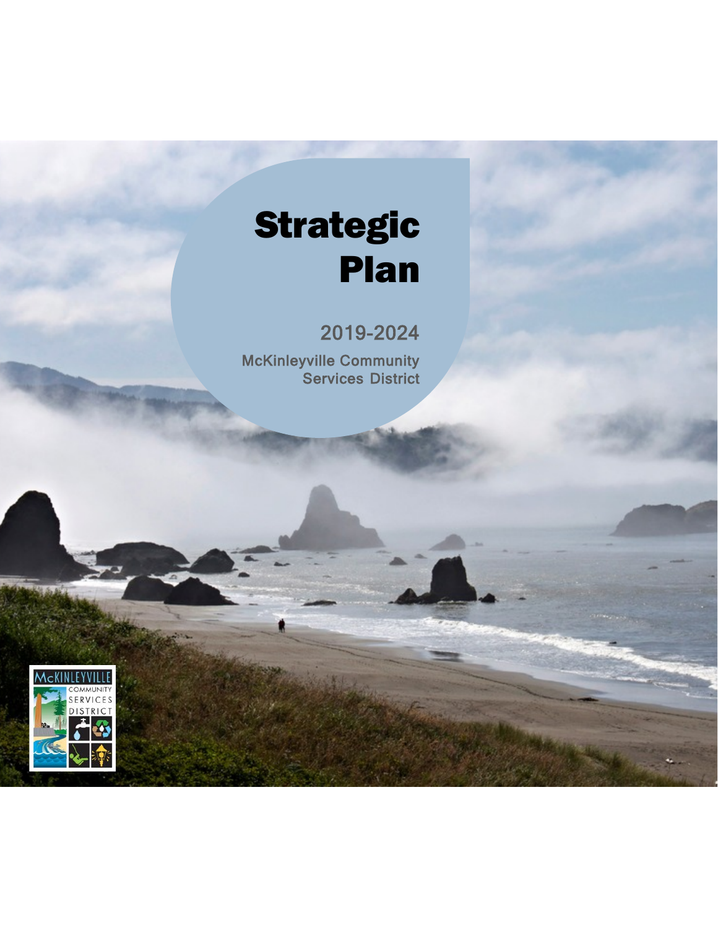# Strategic Plan

2019-2024

McKinleyville Community Services District

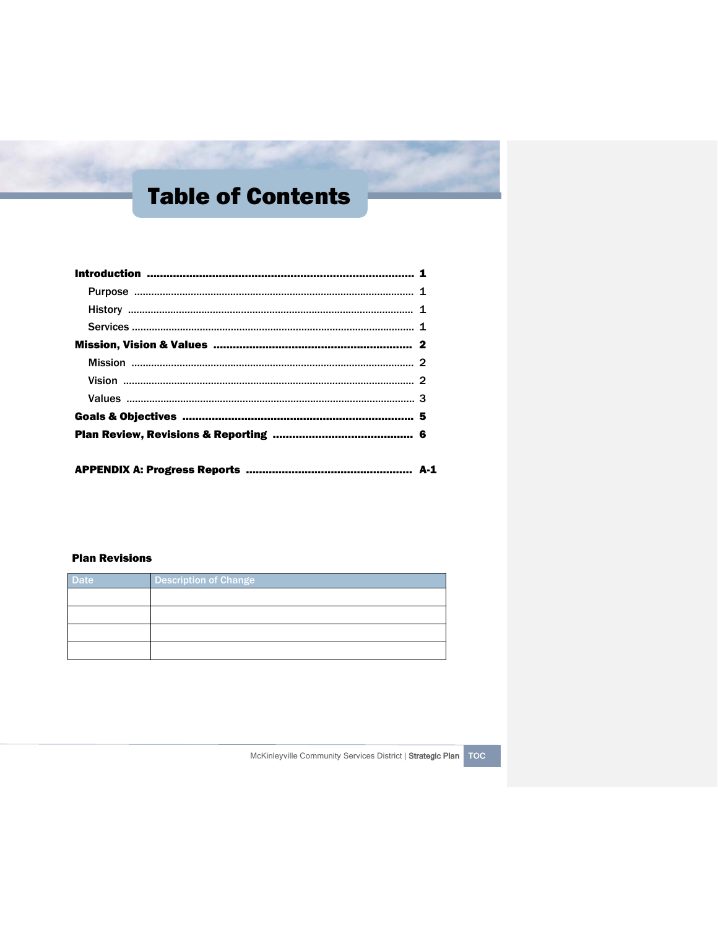## Table of Contents

#### Plan Revisions

| <b>Date</b> | <b>Description of Change</b> |
|-------------|------------------------------|
|             |                              |
|             |                              |
|             |                              |
|             |                              |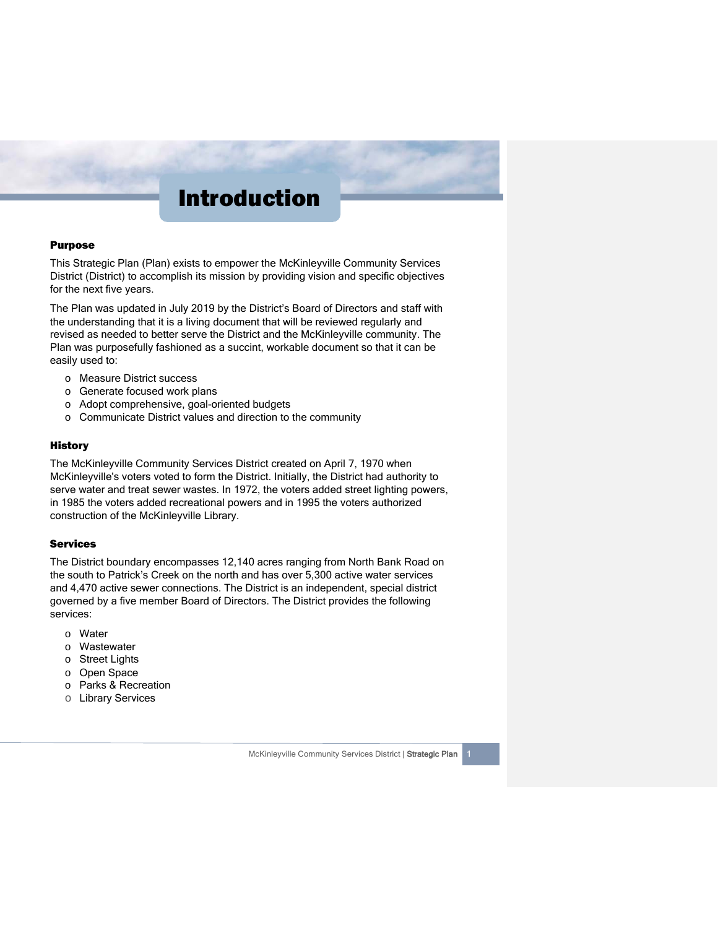### Introduction

#### Purpose

This Strategic Plan (Plan) exists to empower the McKinleyville Community Services District (District) to accomplish its mission by providing vision and specific objectives for the next five years.

The Plan was updated in July 2019 by the District's Board of Directors and staff with the understanding that it is a living document that will be reviewed regularly and revised as needed to better serve the District and the McKinleyville community. The Plan was purposefully fashioned as a succint, workable document so that it can be easily used to:

- o Measure District success
- o Generate focused work plans
- o Adopt comprehensive, goal-oriented budgets
- o Communicate District values and direction to the community

#### **History**

The McKinleyville Community Services District created on April 7, 1970 when McKinleyville's voters voted to form the District. Initially, the District had authority to serve water and treat sewer wastes. In 1972, the voters added street lighting powers, in 1985 the voters added recreational powers and in 1995 the voters authorized construction of the McKinleyville Library.

#### **Services**

The District boundary encompasses 12,140 acres ranging from North Bank Road on the south to Patrick's Creek on the north and has over 5,300 active water services and 4,470 active sewer connections. The District is an independent, special district governed by a five member Board of Directors. The District provides the following services:

- o Water
- o Wastewater
- o Street Lights
- o Open Space
- o Parks & Recreation
- o Library Services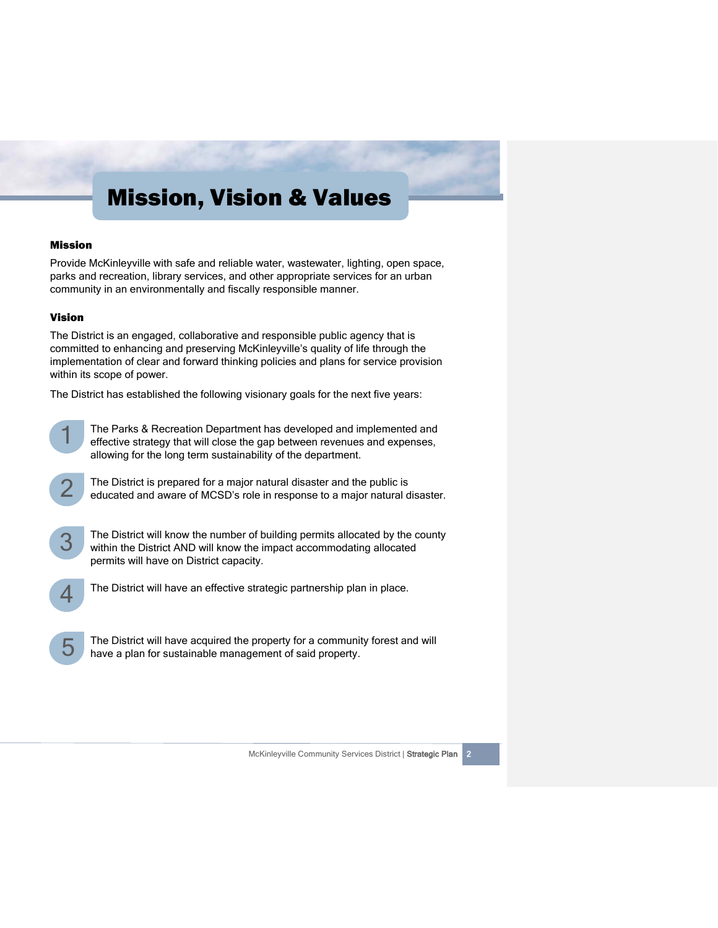### Mission, Vision & Values

#### Mission

Provide McKinleyville with safe and reliable water, wastewater, lighting, open space, parks and recreation, library services, and other appropriate services for an urban community in an environmentally and fiscally responsible manner.

#### Vision

The District is an engaged, collaborative and responsible public agency that is committed to enhancing and preserving McKinleyville's quality of life through the implementation of clear and forward thinking policies and plans for service provision within its scope of power.

The District has established the following visionary goals for the next five years:



The Parks & Recreation Department has developed and implemented and effective strategy that will close the gap between revenues and expenses, allowing for the long term sustainability of the department.



The District is prepared for a major natural disaster and the public is educated and aware of MCSD's role in response to a major natural disaster.



The District will know the number of building permits allocated by the county within the District AND will know the impact accommodating allocated permits will have on District capacity.



The District will have an effective strategic partnership plan in place.

i 5

The District will have acquired the property for a community forest and will have a plan for sustainable management of said property.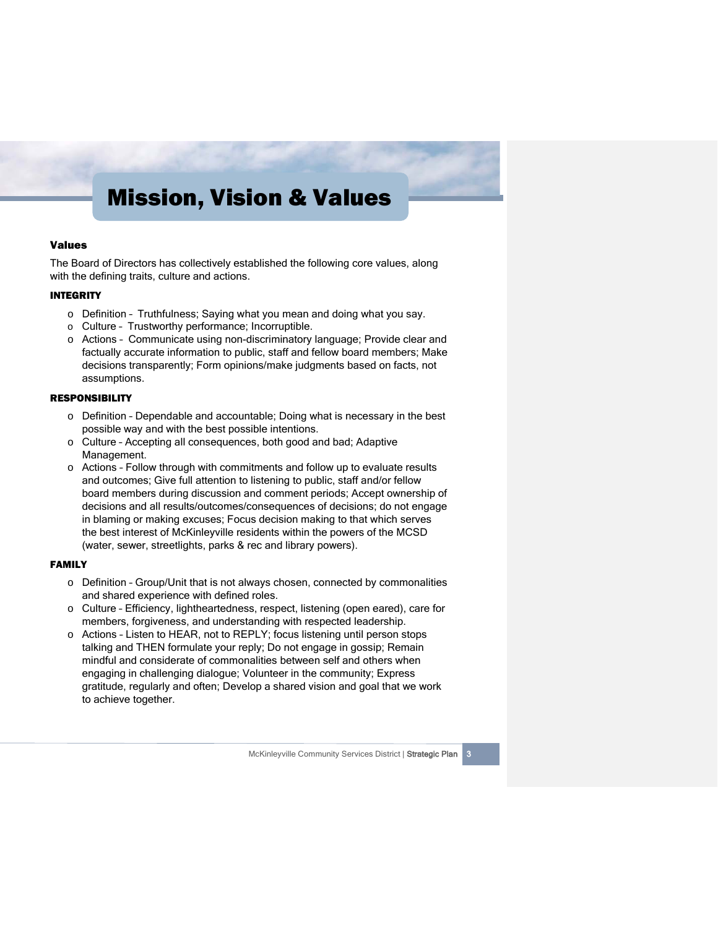### Mission, Vision & Values

#### Values

The Board of Directors has collectively established the following core values, along with the defining traits, culture and actions.

#### INTEGRITY

- o Definition Truthfulness; Saying what you mean and doing what you say.
- o Culture Trustworthy performance; Incorruptible.
- o Actions Communicate using non-discriminatory language; Provide clear and factually accurate information to public, staff and fellow board members; Make decisions transparently; Form opinions/make judgments based on facts, not assumptions.

#### RESPONSIBILITY

- o Definition Dependable and accountable; Doing what is necessary in the best possible way and with the best possible intentions.
- o Culture Accepting all consequences, both good and bad; Adaptive Management.
- o Actions Follow through with commitments and follow up to evaluate results and outcomes; Give full attention to listening to public, staff and/or fellow board members during discussion and comment periods; Accept ownership of decisions and all results/outcomes/consequences of decisions; do not engage in blaming or making excuses; Focus decision making to that which serves the best interest of McKinleyville residents within the powers of the MCSD (water, sewer, streetlights, parks & rec and library powers).

#### FAMILY

- $\circ$  Definition Group/Unit that is not always chosen, connected by commonalities and shared experience with defined roles.
- o Culture Efficiency, lightheartedness, respect, listening (open eared), care for members, forgiveness, and understanding with respected leadership.
- o Actions Listen to HEAR, not to REPLY; focus listening until person stops talking and THEN formulate your reply; Do not engage in gossip; Remain mindful and considerate of commonalities between self and others when engaging in challenging dialogue; Volunteer in the community; Express gratitude, regularly and often; Develop a shared vision and goal that we work to achieve together.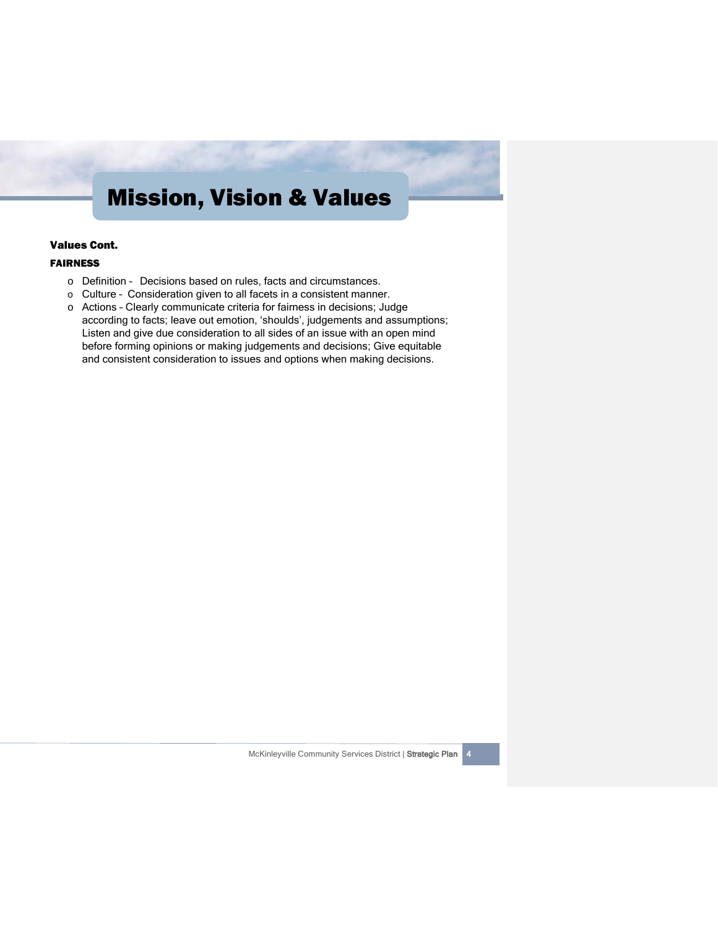### Mission, Vision & Values

#### Values Cont.

#### FAIRNESS

- o Definition Decisions based on rules, facts and circumstances.
- o Culture Consideration given to all facets in a consistent manner.
- o Actions Clearly communicate criteria for fairness in decisions; Judge according to facts; leave out emotion, 'shoulds', judgements and assumptions; Listen and give due consideration to all sides of an issue with an open mind before forming opinions or making judgements and decisions; Give equitable and consistent consideration to issues and options when making decisions.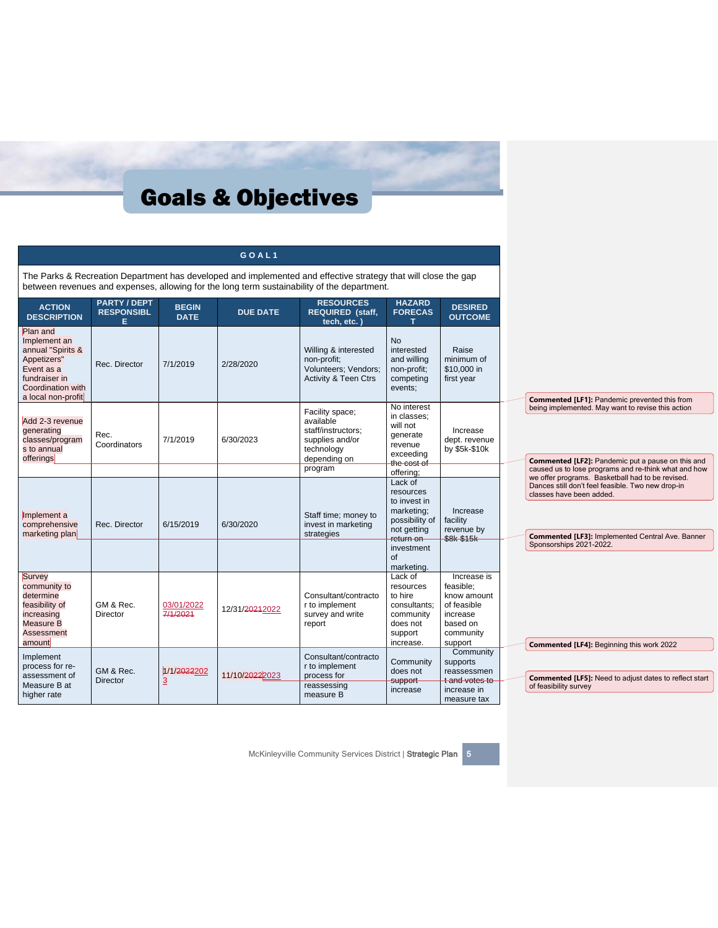|                                                                                                                                        |                                                |                                            | GOAL1                       |                                                                                                                                                                                                               |                                                                                                                                                 |                                                                                                        |
|----------------------------------------------------------------------------------------------------------------------------------------|------------------------------------------------|--------------------------------------------|-----------------------------|---------------------------------------------------------------------------------------------------------------------------------------------------------------------------------------------------------------|-------------------------------------------------------------------------------------------------------------------------------------------------|--------------------------------------------------------------------------------------------------------|
|                                                                                                                                        |                                                |                                            |                             | The Parks & Recreation Department has developed and implemented and effective strategy that will close the gap<br>between revenues and expenses, allowing for the long term sustainability of the department. |                                                                                                                                                 |                                                                                                        |
| <b>ACTION</b><br><b>DESCRIPTION</b>                                                                                                    | <b>PARTY / DEPT</b><br><b>RESPONSIBL</b><br>E. | <b>BEGIN</b><br><b>DATE</b>                | <b>DUE DATE</b>             | <b>RESOURCES</b><br><b>REQUIRED (staff,</b><br>tech, etc.                                                                                                                                                     | <b>HAZARD</b><br><b>FORECAS</b>                                                                                                                 | <b>DESIRED</b><br><b>OUTCOME</b>                                                                       |
| Plan and<br>Implement an<br>annual "Spirits &<br>Appetizers"<br>Event as a<br>fundraiser in<br>Coordination with<br>a local non-profit | Rec. Director                                  | 7/1/2019                                   | 2/28/2020                   | Willing & interested<br>non-profit;<br>Volunteers; Vendors;<br><b>Activity &amp; Teen Ctrs</b>                                                                                                                | <b>No</b><br>interested<br>and willing<br>non-profit;<br>competing<br>events;                                                                   | Raise<br>minimum of<br>\$10,000 in<br>first year                                                       |
| Add 2-3 revenue<br>generating<br>classes/program<br>s to annual<br>offerings                                                           | Rec.<br>Coordinators                           | 7/1/2019                                   | 6/30/2023                   | Facility space;<br>available<br>staff/instructors;<br>supplies and/or<br>technology<br>depending on                                                                                                           | No interest<br>in classes;<br>will not<br>qenerate<br>revenue<br>exceeding<br>the cost of                                                       | Increase<br>dept. revenue<br>by \$5k-\$10k                                                             |
| Implement a<br>comprehensive<br>marketing plan                                                                                         | Rec. Director                                  | 6/15/2019                                  | 6/30/2020                   | program<br>Staff time; money to<br>invest in marketing<br>strategies                                                                                                                                          | offering;<br>Lack of<br>resources<br>to invest in<br>marketing;<br>possibility of<br>not getting<br>return on<br>investment<br>of<br>marketing. | Increase<br>facility<br>revenue by<br>\$8k-\$15k                                                       |
| Survey<br>community to<br>determine<br>feasibility of<br>increasing<br>Measure B<br>Assessment<br>amount                               | GM & Rec.<br>Director                          | 03/01/2022<br>7/1/2021                     | 12/31/ <del>2021</del> 2022 | Consultant/contracto<br>r to implement<br>survey and write<br>report                                                                                                                                          | Lack of<br>resources<br>to hire<br>consultants;<br>community<br>does not<br>support<br>increase.                                                | Increase is<br>feasible:<br>know amount<br>of feasible<br>increase<br>based on<br>community<br>support |
| Implement<br>process for re-<br>assessment of<br>Measure B at<br>higher rate                                                           | GM & Rec.<br><b>Director</b>                   | 1/1/ <del>2022</del> 202<br>$\overline{3}$ | 11/10/20222023              | Consultant/contracto<br>r to implement<br>process for<br>reassessing<br>measure B                                                                                                                             | Community<br>does not<br>support<br>increase                                                                                                    | Community<br>supports<br>reassessmen<br>t and votes to<br>increase in<br>measure tax                   |

McKinleyville Community Services District | Strategic Plan 5

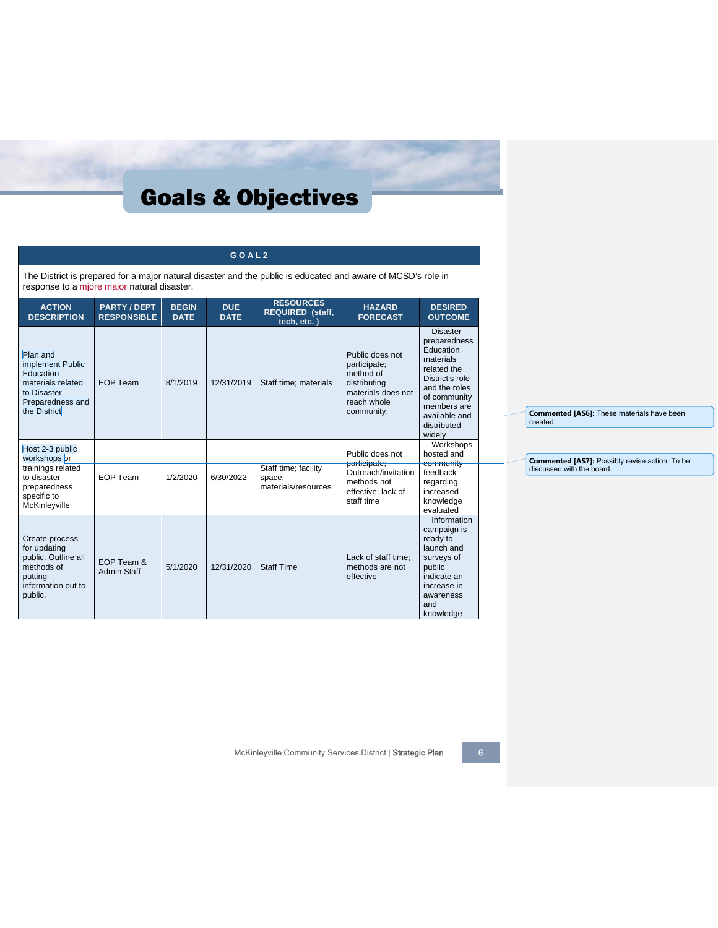|                                                                                                                   |                                         |                             | GOAL <sub>2</sub>         |                                                                                                              |                                                                                                                 |                                                                                                                                                              |  |                                                               |
|-------------------------------------------------------------------------------------------------------------------|-----------------------------------------|-----------------------------|---------------------------|--------------------------------------------------------------------------------------------------------------|-----------------------------------------------------------------------------------------------------------------|--------------------------------------------------------------------------------------------------------------------------------------------------------------|--|---------------------------------------------------------------|
| response to a miore-major natural disaster.                                                                       |                                         |                             |                           | The District is prepared for a major natural disaster and the public is educated and aware of MCSD's role in |                                                                                                                 |                                                                                                                                                              |  |                                                               |
| <b>ACTION</b><br><b>DESCRIPTION</b>                                                                               | <b>PARTY/DEPT</b><br><b>RESPONSIBLE</b> | <b>BEGIN</b><br><b>DATE</b> | <b>DUE</b><br><b>DATE</b> | <b>RESOURCES</b><br>REQUIRED (staff,<br>tech, etc.)                                                          | <b>HAZARD</b><br><b>FORECAST</b>                                                                                | <b>DESIRED</b><br><b>OUTCOME</b>                                                                                                                             |  |                                                               |
| Plan and<br>implement Public<br>Education<br>materials related<br>to Disaster<br>Preparedness and<br>the District | <b>EOP Team</b>                         | 8/1/2019                    | 12/31/2019                | Staff time; materials                                                                                        | Public does not<br>participate;<br>method of<br>distributing<br>materials does not<br>reach whole<br>community; | <b>Disaster</b><br>preparedness<br>Education<br>materials<br>related the<br>District's role<br>and the roles<br>of community<br>members are<br>available and |  | <b>Commented [AS6]:</b> These materials have been<br>created. |
|                                                                                                                   |                                         |                             |                           |                                                                                                              |                                                                                                                 | distributed<br>widely                                                                                                                                        |  |                                                               |
| Host 2-3 public<br>workshops or                                                                                   |                                         |                             |                           |                                                                                                              | Public does not                                                                                                 | Workshops<br>hosted and                                                                                                                                      |  | Commented [AS7]: Possibly revise action. To be                |
| trainings related<br>to disaster<br>preparedness<br>specific to<br>McKinleyville                                  | EOP Team                                | 1/2/2020                    | 6/30/2022                 | Staff time; facility<br>space;<br>materials/resources                                                        | participate;<br>Outreach/invitation<br>methods not<br>effective; lack of<br>staff time                          | community<br>feedback<br>regarding<br>increased<br>knowledge<br>evaluated                                                                                    |  | discussed with the board.                                     |
| Create process<br>for updating<br>public. Outline all<br>methods of<br>putting<br>information out to<br>public.   | EOP Team &<br><b>Admin Staff</b>        | 5/1/2020                    | 12/31/2020                | <b>Staff Time</b>                                                                                            | Lack of staff time:<br>methods are not<br>effective                                                             | Information<br>campaign is<br>ready to<br>launch and<br>surveys of<br>public<br>indicate an<br>increase in<br>awareness<br>and<br>knowledge                  |  |                                                               |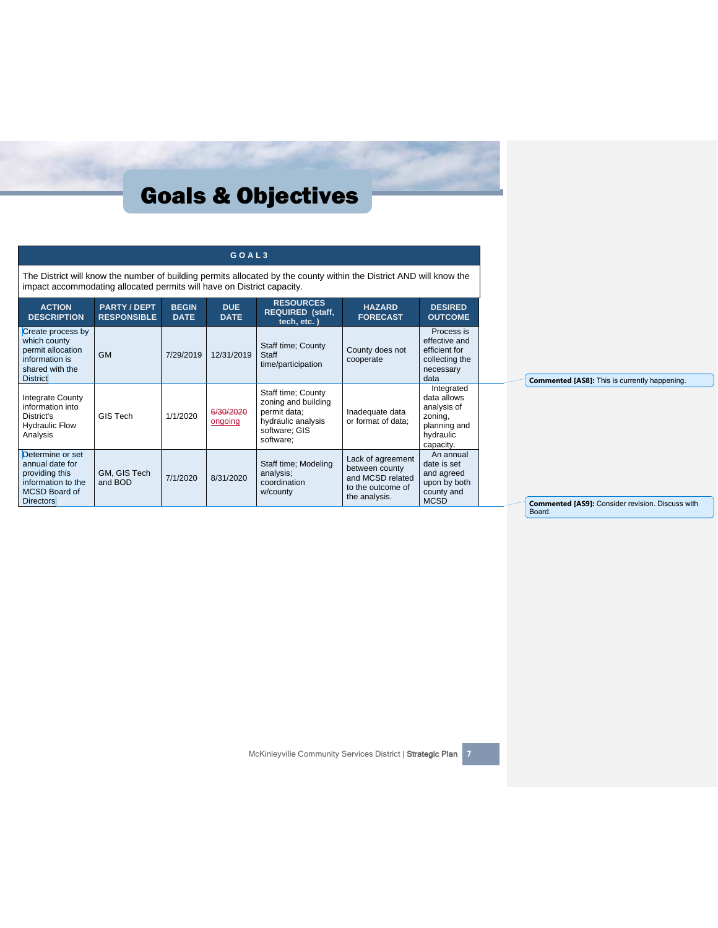|                                                                                                                         |                                           |                             | GOAL3                     |                                                                                                                     |                                                                                               |                                                                                               |                                                         |
|-------------------------------------------------------------------------------------------------------------------------|-------------------------------------------|-----------------------------|---------------------------|---------------------------------------------------------------------------------------------------------------------|-----------------------------------------------------------------------------------------------|-----------------------------------------------------------------------------------------------|---------------------------------------------------------|
| impact accommodating allocated permits will have on District capacity.                                                  |                                           |                             |                           | The District will know the number of building permits allocated by the county within the District AND will know the |                                                                                               |                                                                                               |                                                         |
| <b>ACTION</b><br><b>DESCRIPTION</b>                                                                                     | <b>PARTY / DEPT</b><br><b>RESPONSIBLE</b> | <b>BEGIN</b><br><b>DATE</b> | <b>DUE</b><br><b>DATE</b> | <b>RESOURCES</b><br><b>REQUIRED (staff,</b><br>tech, etc.)                                                          | <b>HAZARD</b><br><b>FORECAST</b>                                                              | <b>DESIRED</b><br><b>OUTCOME</b>                                                              |                                                         |
| Create process by<br>which county<br>permit allocation<br>information is<br>shared with the<br><b>District</b>          | <b>GM</b>                                 | 7/29/2019                   | 12/31/2019                | Staff time; County<br>Staff<br>time/participation                                                                   | County does not<br>cooperate                                                                  | Process is<br>effective and<br>efficient for<br>collecting the<br>necessary<br>data           | Commented [AS8]: This is currently happening.           |
| Integrate County<br>information into<br>District's<br><b>Hydraulic Flow</b><br>Analysis                                 | GIS Tech                                  | 1/1/2020                    | 6/30/2020<br>ongoing      | Staff time; County<br>zoning and building<br>permit data;<br>hydraulic analysis<br>software; GIS<br>software:       | Inadequate data<br>or format of data:                                                         | Integrated<br>data allows<br>analysis of<br>zoning,<br>planning and<br>hydraulic<br>capacity. |                                                         |
| Determine or set<br>annual date for<br>providing this<br>information to the<br><b>MCSD Board of</b><br><b>Directors</b> | GM, GIS Tech<br>and BOD                   | 7/1/2020                    | 8/31/2020                 | Staff time; Modeling<br>analysis;<br>coordination<br>w/county                                                       | Lack of agreement<br>between county<br>and MCSD related<br>to the outcome of<br>the analysis. | An annual<br>date is set<br>and agreed<br>upon by both<br>county and<br><b>MCSD</b>           | <b>Commented [AS9]: Consider revision. Discuss with</b> |

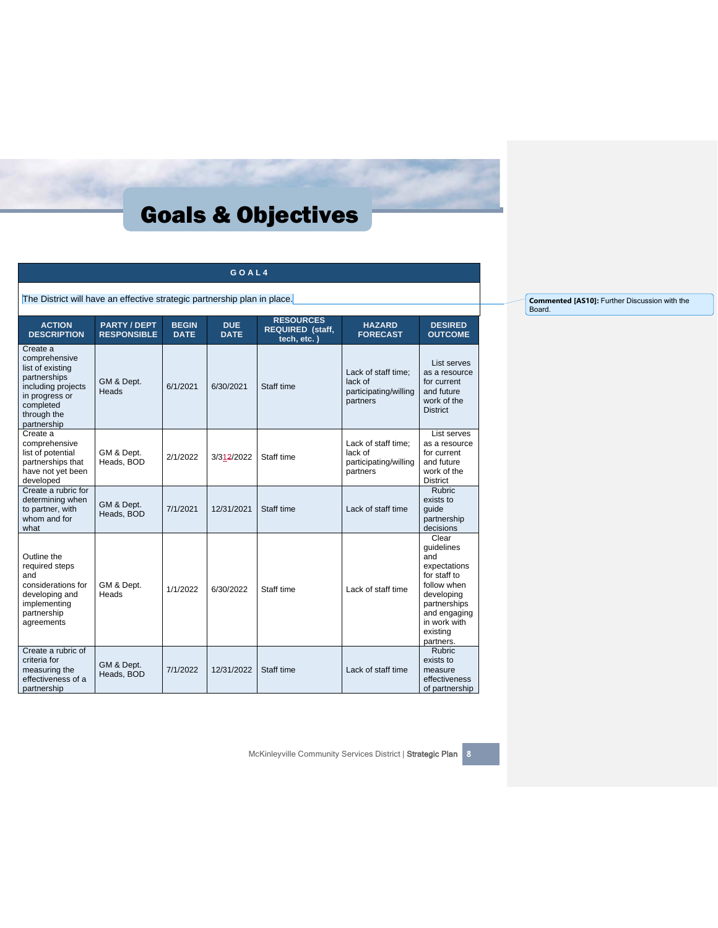|  | GOAL4 |  |
|--|-------|--|
|  |       |  |

The District will have an effective strategic partnership plan in place.

| <b>ACTION</b><br><b>DESCRIPTION</b>                                                                                                              | <b>PARTY/DEPT</b><br><b>RESPONSIBLE</b> | <b>BEGIN</b><br><b>DATE</b> | <b>DUE</b><br><b>DATE</b> | <b>RESOURCES</b><br><b>REQUIRED (staff,</b><br>tech, etc.) | <b>HAZARD</b><br><b>FORECAST</b>                                    | <b>DESIRED</b><br><b>OUTCOME</b>                                                                                                                                 |
|--------------------------------------------------------------------------------------------------------------------------------------------------|-----------------------------------------|-----------------------------|---------------------------|------------------------------------------------------------|---------------------------------------------------------------------|------------------------------------------------------------------------------------------------------------------------------------------------------------------|
| Create a<br>comprehensive<br>list of existing<br>partnerships<br>including projects<br>in progress or<br>completed<br>through the<br>partnership | GM & Dept.<br>Heads                     | 6/1/2021                    | 6/30/2021                 | Staff time                                                 | Lack of staff time;<br>lack of<br>participating/willing<br>partners | List serves<br>as a resource<br>for current<br>and future<br>work of the<br><b>District</b>                                                                      |
| Create a<br>comprehensive<br>list of potential<br>partnerships that<br>have not yet been<br>developed                                            | GM & Dept.<br>Heads, BOD                | 2/1/2022                    | 3/312/2022                | Staff time                                                 | Lack of staff time;<br>lack of<br>participating/willing<br>partners | List serves<br>as a resource<br>for current<br>and future<br>work of the<br><b>District</b>                                                                      |
| Create a rubric for<br>determining when<br>to partner, with<br>whom and for<br>what                                                              | GM & Dept.<br>Heads, BOD                | 7/1/2021                    | 12/31/2021                | Staff time                                                 | Lack of staff time                                                  | <b>Rubric</b><br>exists to<br>quide<br>partnership<br>decisions                                                                                                  |
| Outline the<br>required steps<br>and<br>considerations for<br>developing and<br>implementing<br>partnership<br>agreements                        | GM & Dept.<br>Heads                     | 1/1/2022                    | 6/30/2022                 | Staff time                                                 | Lack of staff time                                                  | Clear<br>quidelines<br>and<br>expectations<br>for staff to<br>follow when<br>developing<br>partnerships<br>and engaging<br>in work with<br>existing<br>partners. |
| Create a rubric of<br>criteria for<br>measuring the<br>effectiveness of a<br>partnership                                                         | GM & Dept.<br>Heads, BOD                | 7/1/2022                    | 12/31/2022                | Staff time                                                 | Lack of staff time                                                  | <b>Rubric</b><br>exists to<br>measure<br>effectiveness<br>of partnership                                                                                         |

**Commented [AS10]:** Further Discussion with the Board.

McKinleyville Community Services District | Strategic Plan 8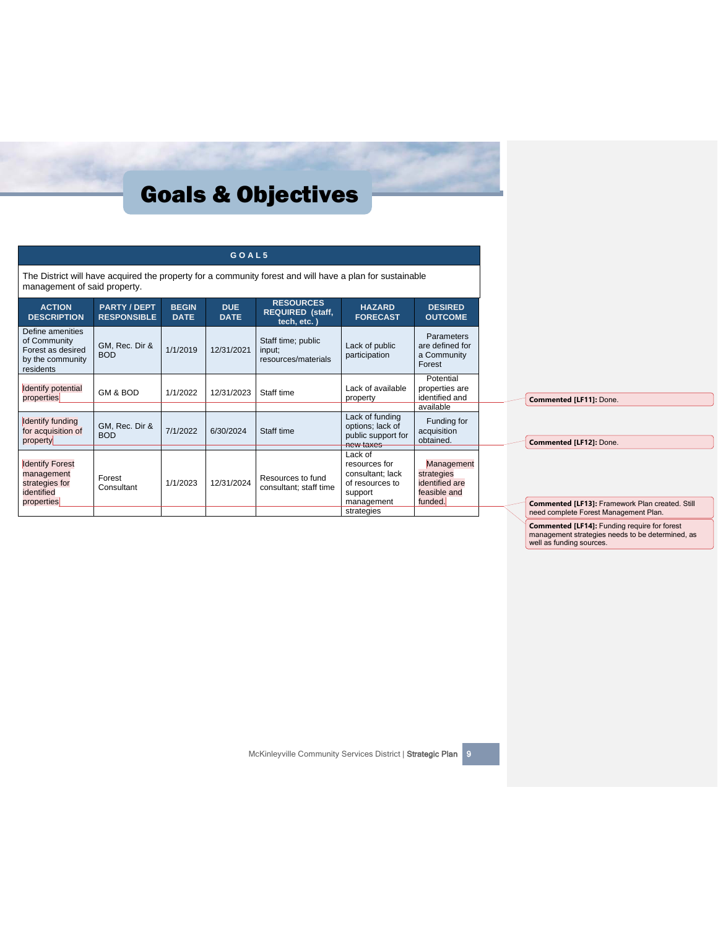|                                                                                        |                                         |                             | GOAL5                     |                                                                                                          |                                                                                                        |                                                                       |
|----------------------------------------------------------------------------------------|-----------------------------------------|-----------------------------|---------------------------|----------------------------------------------------------------------------------------------------------|--------------------------------------------------------------------------------------------------------|-----------------------------------------------------------------------|
| management of said property.                                                           |                                         |                             |                           | The District will have acquired the property for a community forest and will have a plan for sustainable |                                                                                                        |                                                                       |
| <b>ACTION</b><br><b>DESCRIPTION</b>                                                    | <b>PARTY/DEPT</b><br><b>RESPONSIBLE</b> | <b>BEGIN</b><br><b>DATE</b> | <b>DUE</b><br><b>DATE</b> | <b>RESOURCES</b><br><b>REQUIRED (staff,</b><br>tech, etc.)                                               | <b>HAZARD</b><br><b>FORECAST</b>                                                                       | <b>DESIRED</b><br><b>OUTCOME</b>                                      |
| Define amenities<br>of Community<br>Forest as desired<br>by the community<br>residents | GM, Rec. Dir &<br><b>BOD</b>            | 1/1/2019                    | 12/31/2021                | Staff time; public<br>input;<br>resources/materials                                                      | Lack of public<br>participation                                                                        | <b>Parameters</b><br>are defined for<br>a Community<br>Forest         |
| Identify potential<br>properties                                                       | GM & BOD                                | 1/1/2022                    | 12/31/2023                | Staff time                                                                                               | Lack of available<br>property                                                                          | Potential<br>properties are<br>identified and<br>available            |
| Identify funding<br>for acquisition of<br>property                                     | GM, Rec. Dir &<br><b>BOD</b>            | 7/1/2022                    | 6/30/2024                 | Staff time                                                                                               | Lack of funding<br>options; lack of<br>public support for<br>new taxes                                 | Funding for<br>acquisition<br>obtained.                               |
| <b>Identify Forest</b><br>management<br>strategies for<br>identified<br>properties     | Forest<br>Consultant                    | 1/1/2023                    | 12/31/2024                | Resources to fund<br>consultant; staff time                                                              | Lack of<br>resources for<br>consultant; lack<br>of resources to<br>support<br>management<br>strategies | Management<br>strategies<br>identified are<br>feasible and<br>funded. |

**Commented [LF14]:** Funding require for forest management strategies needs to be determined, as well as funding sources.

McKinleyville Community Services District | Strategic Plan | 9